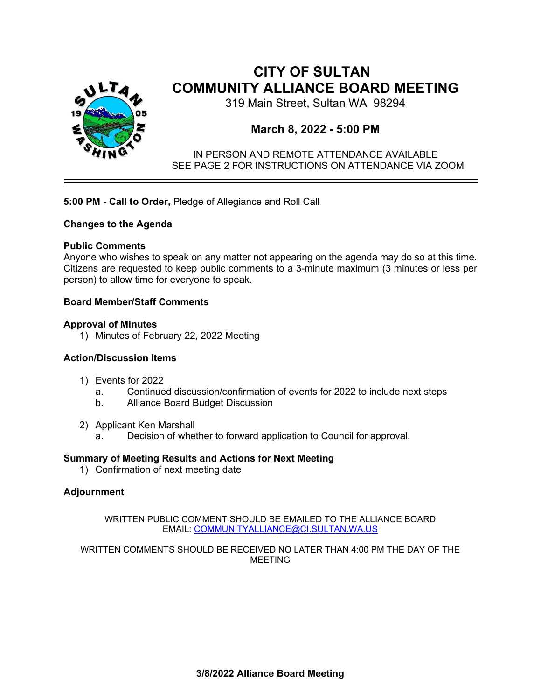

# **CITY OF SULTAN COMMUNITY ALLIANCE BOARD MEETING**

319 Main Street, Sultan WA 98294

## **March 8, 2022 - 5:00 PM**

IN PERSON AND REMOTE ATTENDANCE AVAILABLE SEE PAGE 2 FOR INSTRUCTIONS ON ATTENDANCE VIA ZOOM

## **5:00 PM - Call to Order,** Pledge of Allegiance and Roll Call

## **Changes to the Agenda**

## **Public Comments**

Anyone who wishes to speak on any matter not appearing on the agenda may do so at this time. Citizens are requested to keep public comments to a 3-minute maximum (3 minutes or less per person) to allow time for everyone to speak.

## **Board Member/Staff Comments**

## **Approval of Minutes**

1) Minutes of February 22, 2022 Meeting

## **Action/Discussion Items**

- 1) Events for 2022
	- a. Continued discussion/confirmation of events for 2022 to include next steps
	- b. Alliance Board Budget Discussion
- 2) Applicant Ken Marshall
	- a. Decision of whether to forward application to Council for approval.

## **Summary of Meeting Results and Actions for Next Meeting**

1) Confirmation of next meeting date

## **Adjournment**

WRITTEN PUBLIC COMMENT SHOULD BE EMAILED TO THE ALLIANCE BOARD EMAIL: [COMMUNITYALLIANCE@CI.SULTAN.WA.US](mailto:TAMI.PEVEY@CI.SULTAN.WA.US)

WRITTEN COMMENTS SHOULD BE RECEIVED NO LATER THAN 4:00 PM THE DAY OF THE MEETING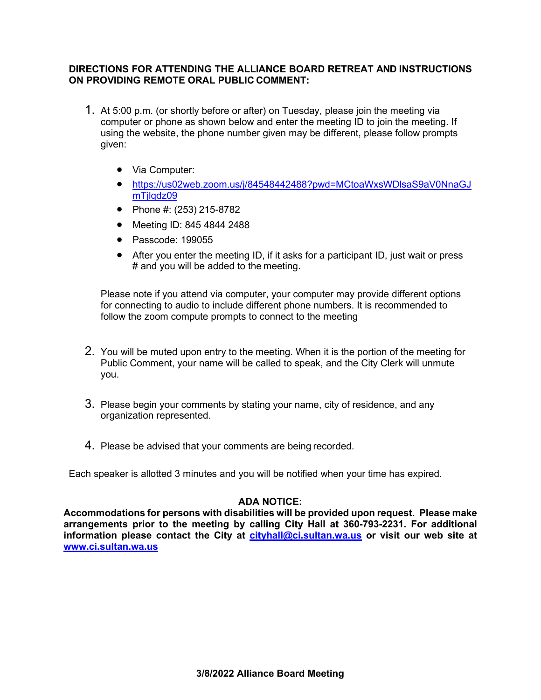## **DIRECTIONS FOR ATTENDING THE ALLIANCE BOARD RETREAT AND INSTRUCTIONS ON PROVIDING REMOTE ORAL PUBLIC COMMENT:**

- 1. At 5:00 p.m. (or shortly before or after) on Tuesday, please join the meeting via computer or phone as shown below and enter the meeting ID to join the meeting. If using the website, the phone number given may be different, please follow prompts given:
	- Via Computer:
	- [https://us02web.zoom.us/j/84548442488?pwd=MCtoaWxsWDlsaS9aV0NnaGJ](https://us02web.zoom.us/j/84548442488?pwd=MCtoaWxsWDlsaS9aV0NnaGJmTjlqdz09) mTilgdz09
	- Phone #: (253) 215-8782
	- Meeting ID: 845 4844 2488
	- Passcode: 199055
	- After you enter the meeting ID, if it asks for a participant ID, just wait or press # and you will be added to the meeting.

Please note if you attend via computer, your computer may provide different options for connecting to audio to include different phone numbers. It is recommended to follow the zoom compute prompts to connect to the meeting

- 2. You will be muted upon entry to the meeting. When it is the portion of the meeting for Public Comment, your name will be called to speak, and the City Clerk will unmute you.
- 3. Please begin your comments by stating your name, city of residence, and any organization represented.
- 4. Please be advised that your comments are being recorded.

Each speaker is allotted 3 minutes and you will be notified when your time has expired.

## **ADA NOTICE:**

**Accommodations for persons with disabilities will be provided upon request. Please make arrangements prior to the meeting by calling City Hall at 360-793-2231. For additional information please contact the City at [cityhall@ci.sultan.wa.us](mailto:cityhall@ci.sultan.wa.us) or visit our web site at [www.ci.sultan.wa.us](http://www.ci.sultan.wa.us/)**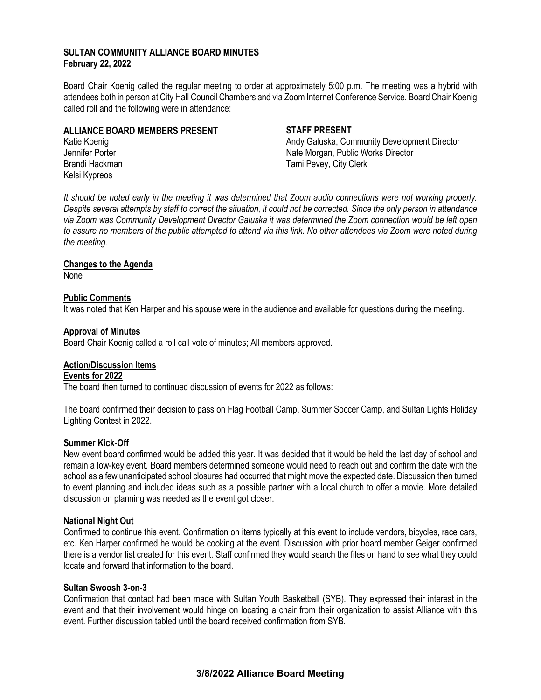#### **SULTAN COMMUNITY ALLIANCE BOARD MINUTES February 22, 2022**

Board Chair Koenig called the regular meeting to order at approximately 5:00 p.m. The meeting was a hybrid with attendees both in person at City Hall Council Chambers and via Zoom Internet Conference Service. Board Chair Koenig called roll and the following were in attendance:

#### **ALLIANCE BOARD MEMBERS PRESENT**

Katie Koenig Jennifer Porter Brandi Hackman Kelsi Kypreos

#### **STAFF PRESENT**

Andy Galuska, Community Development Director Nate Morgan, Public Works Director Tami Pevey, City Clerk

*It should be noted early in the meeting it was determined that Zoom audio connections were not working properly. Despite several attempts by staff to correct the situation, it could not be corrected. Since the only person in attendance via Zoom was Community Development Director Galuska it was determined the Zoom connection would be left open to assure no members of the public attempted to attend via this link. No other attendees via Zoom were noted during the meeting.*

#### **Changes to the Agenda**

None

#### **Public Comments**

It was noted that Ken Harper and his spouse were in the audience and available for questions during the meeting.

#### **Approval of Minutes**

Board Chair Koenig called a roll call vote of minutes; All members approved.

#### **Action/Discussion Items**

## **Events for 2022**

The board then turned to continued discussion of events for 2022 as follows:

The board confirmed their decision to pass on Flag Football Camp, Summer Soccer Camp, and Sultan Lights Holiday Lighting Contest in 2022.

#### **Summer Kick-Off**

New event board confirmed would be added this year. It was decided that it would be held the last day of school and remain a low-key event. Board members determined someone would need to reach out and confirm the date with the school as a few unanticipated school closures had occurred that might move the expected date. Discussion then turned to event planning and included ideas such as a possible partner with a local church to offer a movie. More detailed discussion on planning was needed as the event got closer.

#### **National Night Out**

Confirmed to continue this event. Confirmation on items typically at this event to include vendors, bicycles, race cars, etc. Ken Harper confirmed he would be cooking at the event. Discussion with prior board member Geiger confirmed there is a vendor list created for this event. Staff confirmed they would search the files on hand to see what they could locate and forward that information to the board.

#### **Sultan Swoosh 3-on-3**

Confirmation that contact had been made with Sultan Youth Basketball (SYB). They expressed their interest in the event and that their involvement would hinge on locating a chair from their organization to assist Alliance with this event. Further discussion tabled until the board received confirmation from SYB.

#### **3/8/2022 Alliance Board Meeting**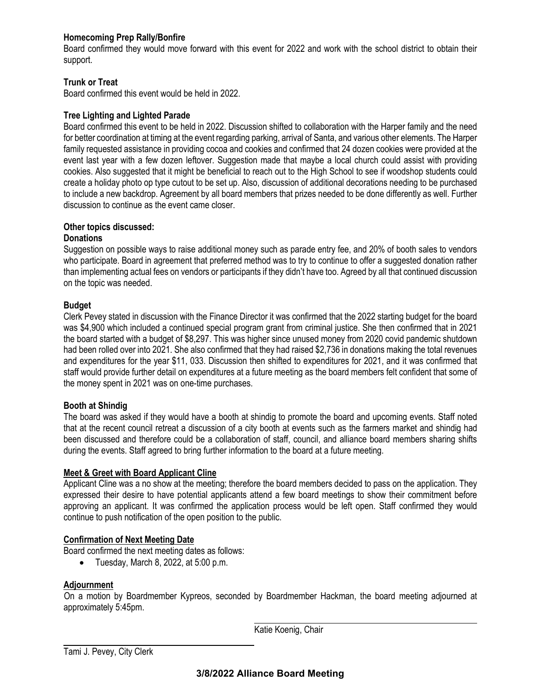## **Homecoming Prep Rally/Bonfire**

Board confirmed they would move forward with this event for 2022 and work with the school district to obtain their support.

### **Trunk or Treat**

Board confirmed this event would be held in 2022.

#### **Tree Lighting and Lighted Parade**

Board confirmed this event to be held in 2022. Discussion shifted to collaboration with the Harper family and the need for better coordination at timing at the event regarding parking, arrival of Santa, and various other elements. The Harper family requested assistance in providing cocoa and cookies and confirmed that 24 dozen cookies were provided at the event last year with a few dozen leftover. Suggestion made that maybe a local church could assist with providing cookies. Also suggested that it might be beneficial to reach out to the High School to see if woodshop students could create a holiday photo op type cutout to be set up. Also, discussion of additional decorations needing to be purchased to include a new backdrop. Agreement by all board members that prizes needed to be done differently as well. Further discussion to continue as the event came closer.

#### **Other topics discussed:**

#### **Donations**

Suggestion on possible ways to raise additional money such as parade entry fee, and 20% of booth sales to vendors who participate. Board in agreement that preferred method was to try to continue to offer a suggested donation rather than implementing actual fees on vendors or participants if they didn't have too. Agreed by all that continued discussion on the topic was needed.

#### **Budget**

Clerk Pevey stated in discussion with the Finance Director it was confirmed that the 2022 starting budget for the board was \$4,900 which included a continued special program grant from criminal justice. She then confirmed that in 2021 the board started with a budget of \$8,297. This was higher since unused money from 2020 covid pandemic shutdown had been rolled over into 2021. She also confirmed that they had raised \$2,736 in donations making the total revenues and expenditures for the year \$11, 033. Discussion then shifted to expenditures for 2021, and it was confirmed that staff would provide further detail on expenditures at a future meeting as the board members felt confident that some of the money spent in 2021 was on one-time purchases.

#### **Booth at Shindig**

The board was asked if they would have a booth at shindig to promote the board and upcoming events. Staff noted that at the recent council retreat a discussion of a city booth at events such as the farmers market and shindig had been discussed and therefore could be a collaboration of staff, council, and alliance board members sharing shifts during the events. Staff agreed to bring further information to the board at a future meeting.

#### **Meet & Greet with Board Applicant Cline**

Applicant Cline was a no show at the meeting; therefore the board members decided to pass on the application. They expressed their desire to have potential applicants attend a few board meetings to show their commitment before approving an applicant. It was confirmed the application process would be left open. Staff confirmed they would continue to push notification of the open position to the public.

#### **Confirmation of Next Meeting Date**

Board confirmed the next meeting dates as follows:

• Tuesday, March 8, 2022, at  $5:00$  p.m.

## **Adjournment**

On a motion by Boardmember Kypreos, seconded by Boardmember Hackman, the board meeting adjourned at approximately 5:45pm.

Katie Koenig, Chair